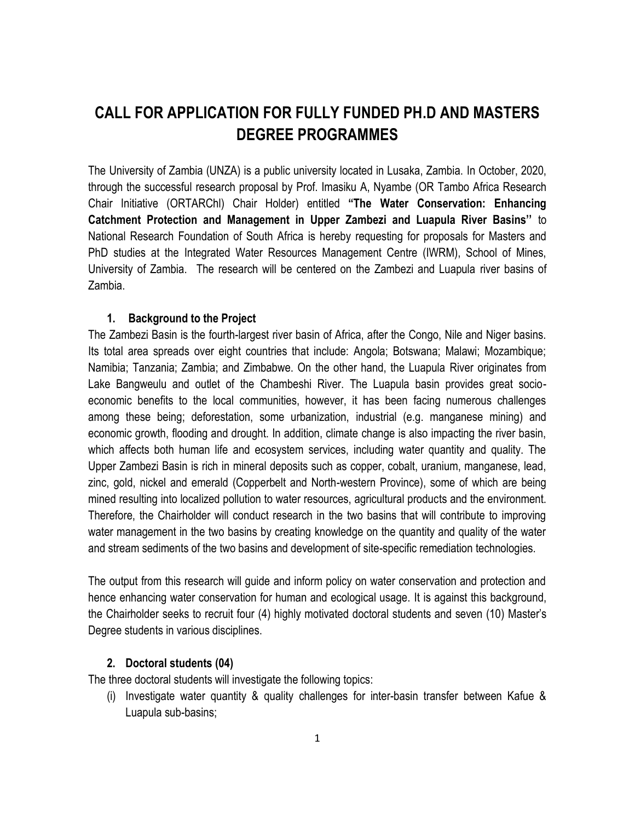# **CALL FOR APPLICATION FOR FULLY FUNDED PH.D AND MASTERS DEGREE PROGRAMMES**

The University of Zambia (UNZA) is a public university located in Lusaka, Zambia. In October, 2020, through the successful research proposal by Prof. Imasiku A, Nyambe (OR Tambo Africa Research Chair Initiative (ORTARChl) Chair Holder) entitled **"The Water Conservation: Enhancing Catchment Protection and Management in Upper Zambezi and Luapula River Basins''** to National Research Foundation of South Africa is hereby requesting for proposals for Masters and PhD studies at the Integrated Water Resources Management Centre (IWRM), School of Mines, University of Zambia.The research will be centered on the Zambezi and Luapula river basins of Zambia.

#### **1. Background to the Project**

The Zambezi Basin is the fourth-largest river basin of Africa, after the Congo, Nile and Niger basins. Its total area spreads over eight countries that include: Angola; Botswana; Malawi; Mozambique; Namibia; Tanzania; Zambia; and Zimbabwe. On the other hand, the Luapula River originates from Lake Bangweulu and outlet of the Chambeshi River. The Luapula basin provides great socioeconomic benefits to the local communities, however, it has been facing numerous challenges among these being; deforestation, some urbanization, industrial (e.g. manganese mining) and economic growth, flooding and drought. In addition, climate change is also impacting the river basin, which affects both human life and ecosystem services, including water quantity and quality. The Upper Zambezi Basin is rich in mineral deposits such as copper, cobalt, uranium, manganese, lead, zinc, gold, nickel and emerald (Copperbelt and North-western Province), some of which are being mined resulting into localized pollution to water resources, agricultural products and the environment. Therefore, the Chairholder will conduct research in the two basins that will contribute to improving water management in the two basins by creating knowledge on the quantity and quality of the water and stream sediments of the two basins and development of site-specific remediation technologies.

The output from this research will guide and inform policy on water conservation and protection and hence enhancing water conservation for human and ecological usage. It is against this background, the Chairholder seeks to recruit four (4) highly motivated doctoral students and seven (10) Master's Degree students in various disciplines.

#### **2. Doctoral students (04)**

The three doctoral students will investigate the following topics:

(i) Investigate water quantity & quality challenges for inter-basin transfer between Kafue & Luapula sub-basins;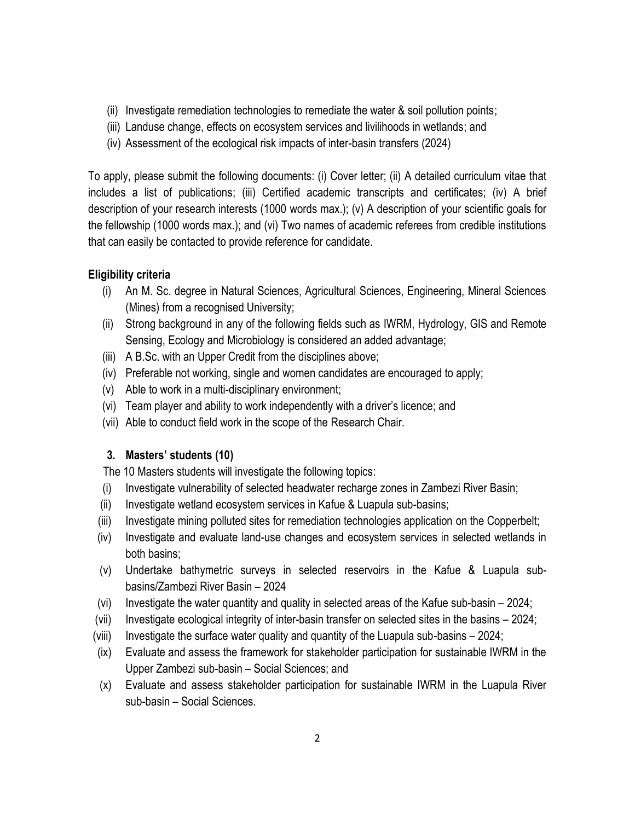- (ii) Investigate remediation technologies to remediate the water & soil pollution points;
- (iii) Landuse change, effects on ecosystem services and livilihoods in wetlands; and
- (iv) Assessment of the ecological risk impacts of inter-basin transfers (2024)

To apply, please submit the following documents: (i) Cover letter; (ii) A detailed curriculum vitae that includes a list of publications; (iii) Certified academic transcripts and certificates; (iv) A brief description of your research interests (1000 words max.); (v) A description of your scientific goals for the fellowship (1000 words max.); and (vi) Two names of academic referees from credible institutions that can easily be contacted to provide reference for candidate.

#### **Eligibility criteria**

- (i) An M. Sc. degree in Natural Sciences, Agricultural Sciences, Engineering, Mineral Sciences (Mines) from a recognised University;
- (ii) Strong background in any of the following fields such as IWRM, Hydrology, GIS and Remote Sensing, Ecology and Microbiology is considered an added advantage;
- (iii) A B.Sc. with an Upper Credit from the disciplines above;
- (iv) Preferable not working, single and women candidates are encouraged to apply;
- (v) Able to work in a multi-disciplinary environment;
- (vi) Team player and ability to work independently with a driver's licence; and
- (vii) Able to conduct field work in the scope of the Research Chair.

## **3. Masters' students (10)**

The 10 Masters students will investigate the following topics:

- (i) Investigate vulnerability of selected headwater recharge zones in Zambezi River Basin;
- (ii) Investigate wetland ecosystem services in Kafue & Luapula sub-basins;
- (iii) Investigate mining polluted sites for remediation technologies application on the Copperbelt;
- (iv) Investigate and evaluate land-use changes and ecosystem services in selected wetlands in both basins;
- (v) Undertake bathymetric surveys in selected reservoirs in the Kafue & Luapula subbasins/Zambezi River Basin – 2024
- (vi) Investigate the water quantity and quality in selected areas of the Kafue sub-basin 2024;
- (vii) Investigate ecological integrity of inter-basin transfer on selected sites in the basins 2024;
- (viii) Investigate the surface water quality and quantity of the Luapula sub-basins 2024;
- (ix) Evaluate and assess the framework for stakeholder participation for sustainable IWRM in the Upper Zambezi sub-basin – Social Sciences; and
- (x) Evaluate and assess stakeholder participation for sustainable IWRM in the Luapula River sub-basin – Social Sciences.